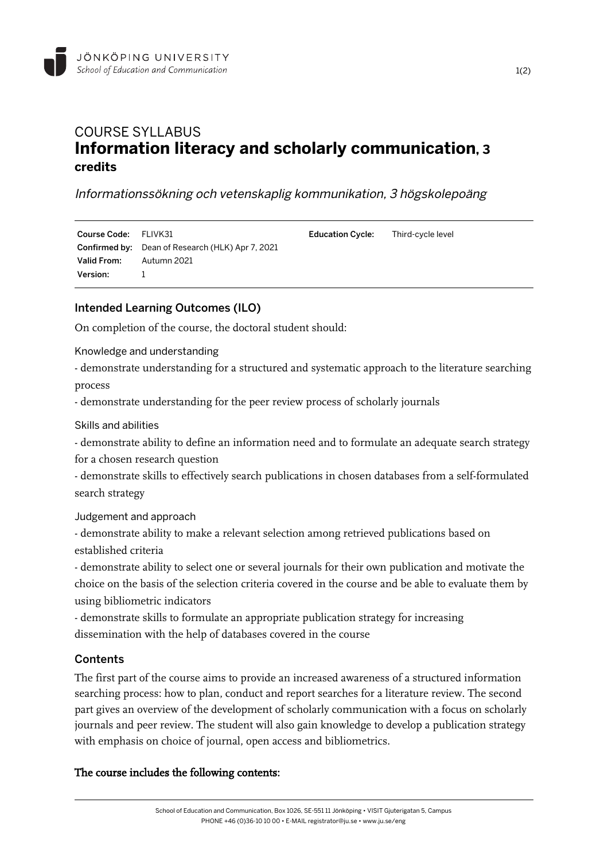

# COURSE SYLLABUS **Information literacy and scholarly communication, 3 credits**

Informationssökning och vetenskaplig kommunikation, 3 högskolepoäng

| Course Code: FLIVK31 |                                                         | <b>Education Cycle:</b> Third-cycle level |  |
|----------------------|---------------------------------------------------------|-------------------------------------------|--|
|                      | <b>Confirmed by:</b> Dean of Research (HLK) Apr 7, 2021 |                                           |  |
| Valid From:          | Autumn 2021                                             |                                           |  |
| <b>Version:</b>      |                                                         |                                           |  |

### Intended Learning Outcomes (ILO)

On completion of the course, the doctoral student should:

Knowledge and understanding

- demonstrate understanding for a structured and systematic approach to the literature searching process

- demonstrate understanding for the peer review process of scholarly journals

Skills and abilities

- demonstrate ability to define an information need and to formulate an adequate search strategy for a chosen research question

- demonstrate skills to effectively search publications in chosen databases from a self-formulated search strategy

Judgement and approach

- demonstrate ability to make a relevant selection among retrieved publications based on established criteria

- demonstrate ability to select one or several journals for their own publication and motivate the choice on the basis of the selection criteria covered in the course and be able to evaluate them by using bibliometric indicators

- demonstrate skills to formulate an appropriate publication strategy for increasing dissemination with the help of databases covered in the course

#### **Contents**

The first part of the course aims to provide an increased awareness of a structured information searching process: how to plan, conduct and report searches for a literature review. The second part gives an overview of the development of scholarly communication with a focus on scholarly journals and peer review. The student will also gain knowledge to develop a publication strategy with emphasis on choice of journal, open access and bibliometrics.

#### The course includes the following contents: